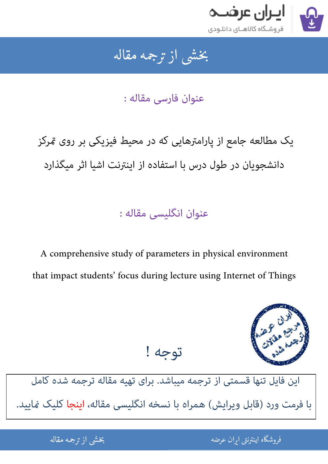

## بخشى از ترجمه مقاله شی از تر بخشی از :

عنوان فارسی مقاله :

یک مطالعه جامع از پارامترهایی که در محیط فیزیکی بر روی &رکز دانشجویان در طول درس با استفاده از اینترنت اشیا اثر میگذارد

عنوان انگلیسی مقاله :

A comprehensive study of parameters in physical environment that impact students' focus during lecture using Internet of Things



[این فایل تنها قسمتی از ترجمه میباشد. برای تهیه مقاله ترجمه شده کامل](http://iranarze.ir/comprehensive+parameters+physical+environment+internet+things)  با فرمت ورد (قابل ویرایش) همراه با نسخه انگلیسی مقاله، اینجا کلیک غایید.

توجه !

.<br>ه المواقع المواقع المواقع المواقع المواقع المواقع المواقع المواقع المواقع المواقع المواقع المواقع المواقع المو ֦֧֢ׅ֚֚֚֚֚֚֚֚֚֚֚֚֚֚֚֚֚֚֚֚֚֚֚֚֬֡֡֡֡֡֡֡֡֡֬֡֡֡֡֡֬ فروشگاه اینترنتی ایر

ان عرضه مقاله از ترجمه مقاله استخدام استخدام العامل العامل العامل العامل العامل العامل العامل العامل العامل ال